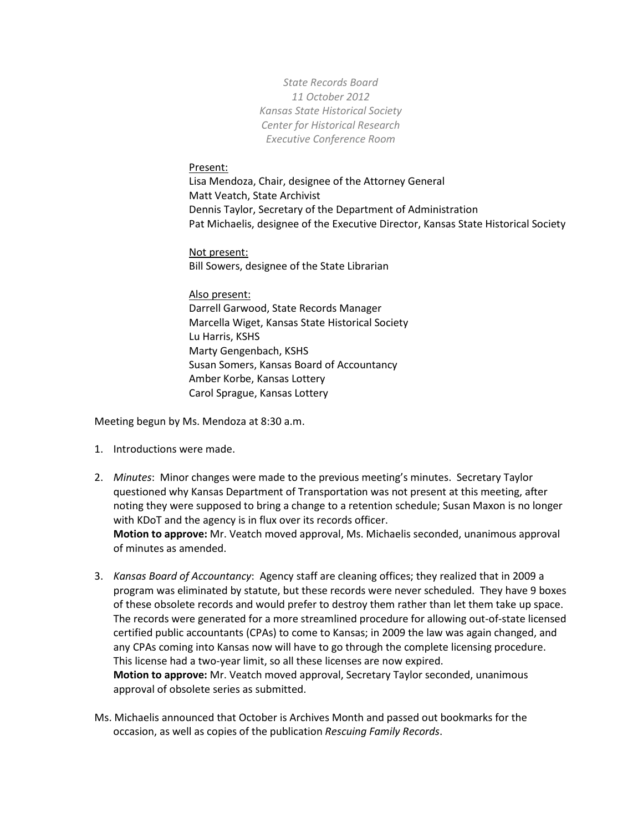*State Records Board 11 October 2012 Kansas State Historical Society Center for Historical Research Executive Conference Room*

## Present:

Lisa Mendoza, Chair, designee of the Attorney General Matt Veatch, State Archivist Dennis Taylor, Secretary of the Department of Administration Pat Michaelis, designee of the Executive Director, Kansas State Historical Society

Not present: Bill Sowers, designee of the State Librarian

Also present: Darrell Garwood, State Records Manager Marcella Wiget, Kansas State Historical Society Lu Harris, KSHS Marty Gengenbach, KSHS Susan Somers, Kansas Board of Accountancy Amber Korbe, Kansas Lottery Carol Sprague, Kansas Lottery

Meeting begun by Ms. Mendoza at 8:30 a.m.

- 1. Introductions were made.
- 2. *Minutes*: Minor changes were made to the previous meeting's minutes. Secretary Taylor questioned why Kansas Department of Transportation was not present at this meeting, after noting they were supposed to bring a change to a retention schedule; Susan Maxon is no longer with KDoT and the agency is in flux over its records officer. **Motion to approve:** Mr. Veatch moved approval, Ms. Michaelis seconded, unanimous approval

of minutes as amended.

- 3. *Kansas Board of Accountancy*: Agency staff are cleaning offices; they realized that in 2009 a program was eliminated by statute, but these records were never scheduled. They have 9 boxes of these obsolete records and would prefer to destroy them rather than let them take up space. The records were generated for a more streamlined procedure for allowing out-of-state licensed certified public accountants (CPAs) to come to Kansas; in 2009 the law was again changed, and any CPAs coming into Kansas now will have to go through the complete licensing procedure. This license had a two-year limit, so all these licenses are now expired. **Motion to approve:** Mr. Veatch moved approval, Secretary Taylor seconded, unanimous approval of obsolete series as submitted.
- Ms. Michaelis announced that October is Archives Month and passed out bookmarks for the occasion, as well as copies of the publication *Rescuing Family Records*.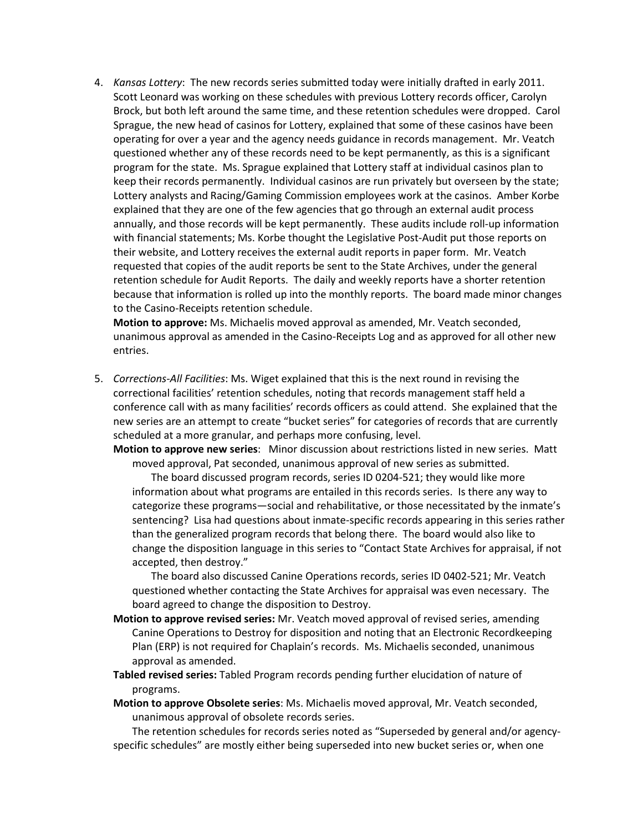4. *Kansas Lottery*: The new records series submitted today were initially drafted in early 2011. Scott Leonard was working on these schedules with previous Lottery records officer, Carolyn Brock, but both left around the same time, and these retention schedules were dropped. Carol Sprague, the new head of casinos for Lottery, explained that some of these casinos have been operating for over a year and the agency needs guidance in records management. Mr. Veatch questioned whether any of these records need to be kept permanently, as this is a significant program for the state. Ms. Sprague explained that Lottery staff at individual casinos plan to keep their records permanently. Individual casinos are run privately but overseen by the state; Lottery analysts and Racing/Gaming Commission employees work at the casinos. Amber Korbe explained that they are one of the few agencies that go through an external audit process annually, and those records will be kept permanently. These audits include roll-up information with financial statements; Ms. Korbe thought the Legislative Post-Audit put those reports on their website, and Lottery receives the external audit reports in paper form. Mr. Veatch requested that copies of the audit reports be sent to the State Archives, under the general retention schedule for Audit Reports. The daily and weekly reports have a shorter retention because that information is rolled up into the monthly reports. The board made minor changes to the Casino-Receipts retention schedule.

**Motion to approve:** Ms. Michaelis moved approval as amended, Mr. Veatch seconded, unanimous approval as amended in the Casino-Receipts Log and as approved for all other new entries.

5. *Corrections-All Facilities*: Ms. Wiget explained that this is the next round in revising the correctional facilities' retention schedules, noting that records management staff held a conference call with as many facilities' records officers as could attend. She explained that the new series are an attempt to create "bucket series" for categories of records that are currently scheduled at a more granular, and perhaps more confusing, level.

**Motion to approve new series**: Minor discussion about restrictions listed in new series. Matt moved approval, Pat seconded, unanimous approval of new series as submitted.

The board discussed program records, series ID 0204-521; they would like more information about what programs are entailed in this records series. Is there any way to categorize these programs—social and rehabilitative, or those necessitated by the inmate's sentencing? Lisa had questions about inmate-specific records appearing in this series rather than the generalized program records that belong there. The board would also like to change the disposition language in this series to "Contact State Archives for appraisal, if not accepted, then destroy."

The board also discussed Canine Operations records, series ID 0402-521; Mr. Veatch questioned whether contacting the State Archives for appraisal was even necessary. The board agreed to change the disposition to Destroy.

- **Motion to approve revised series:** Mr. Veatch moved approval of revised series, amending Canine Operations to Destroy for disposition and noting that an Electronic Recordkeeping Plan (ERP) is not required for Chaplain's records. Ms. Michaelis seconded, unanimous approval as amended.
- **Tabled revised series:** Tabled Program records pending further elucidation of nature of programs.
- **Motion to approve Obsolete series**: Ms. Michaelis moved approval, Mr. Veatch seconded, unanimous approval of obsolete records series.

The retention schedules for records series noted as "Superseded by general and/or agencyspecific schedules" are mostly either being superseded into new bucket series or, when one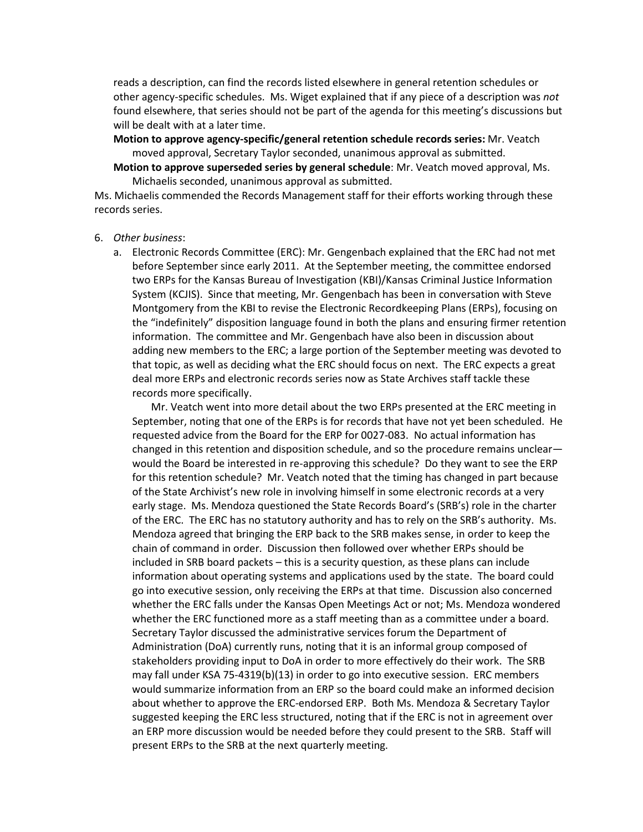reads a description, can find the records listed elsewhere in general retention schedules or other agency-specific schedules. Ms. Wiget explained that if any piece of a description was *not* found elsewhere, that series should not be part of the agenda for this meeting's discussions but will be dealt with at a later time.

**Motion to approve agency-specific/general retention schedule records series:** Mr. Veatch moved approval, Secretary Taylor seconded, unanimous approval as submitted.

**Motion to approve superseded series by general schedule**: Mr. Veatch moved approval, Ms. Michaelis seconded, unanimous approval as submitted.

Ms. Michaelis commended the Records Management staff for their efforts working through these records series.

## 6. *Other business*:

a. Electronic Records Committee (ERC): Mr. Gengenbach explained that the ERC had not met before September since early 2011. At the September meeting, the committee endorsed two ERPs for the Kansas Bureau of Investigation (KBI)/Kansas Criminal Justice Information System (KCJIS). Since that meeting, Mr. Gengenbach has been in conversation with Steve Montgomery from the KBI to revise the Electronic Recordkeeping Plans (ERPs), focusing on the "indefinitely" disposition language found in both the plans and ensuring firmer retention information. The committee and Mr. Gengenbach have also been in discussion about adding new members to the ERC; a large portion of the September meeting was devoted to that topic, as well as deciding what the ERC should focus on next. The ERC expects a great deal more ERPs and electronic records series now as State Archives staff tackle these records more specifically.

Mr. Veatch went into more detail about the two ERPs presented at the ERC meeting in September, noting that one of the ERPs is for records that have not yet been scheduled. He requested advice from the Board for the ERP for 0027-083. No actual information has changed in this retention and disposition schedule, and so the procedure remains unclear would the Board be interested in re-approving this schedule? Do they want to see the ERP for this retention schedule? Mr. Veatch noted that the timing has changed in part because of the State Archivist's new role in involving himself in some electronic records at a very early stage. Ms. Mendoza questioned the State Records Board's (SRB's) role in the charter of the ERC. The ERC has no statutory authority and has to rely on the SRB's authority. Ms. Mendoza agreed that bringing the ERP back to the SRB makes sense, in order to keep the chain of command in order. Discussion then followed over whether ERPs should be included in SRB board packets – this is a security question, as these plans can include information about operating systems and applications used by the state. The board could go into executive session, only receiving the ERPs at that time. Discussion also concerned whether the ERC falls under the Kansas Open Meetings Act or not; Ms. Mendoza wondered whether the ERC functioned more as a staff meeting than as a committee under a board. Secretary Taylor discussed the administrative services forum the Department of Administration (DoA) currently runs, noting that it is an informal group composed of stakeholders providing input to DoA in order to more effectively do their work. The SRB may fall under KSA 75-4319(b)(13) in order to go into executive session. ERC members would summarize information from an ERP so the board could make an informed decision about whether to approve the ERC-endorsed ERP. Both Ms. Mendoza & Secretary Taylor suggested keeping the ERC less structured, noting that if the ERC is not in agreement over an ERP more discussion would be needed before they could present to the SRB. Staff will present ERPs to the SRB at the next quarterly meeting.